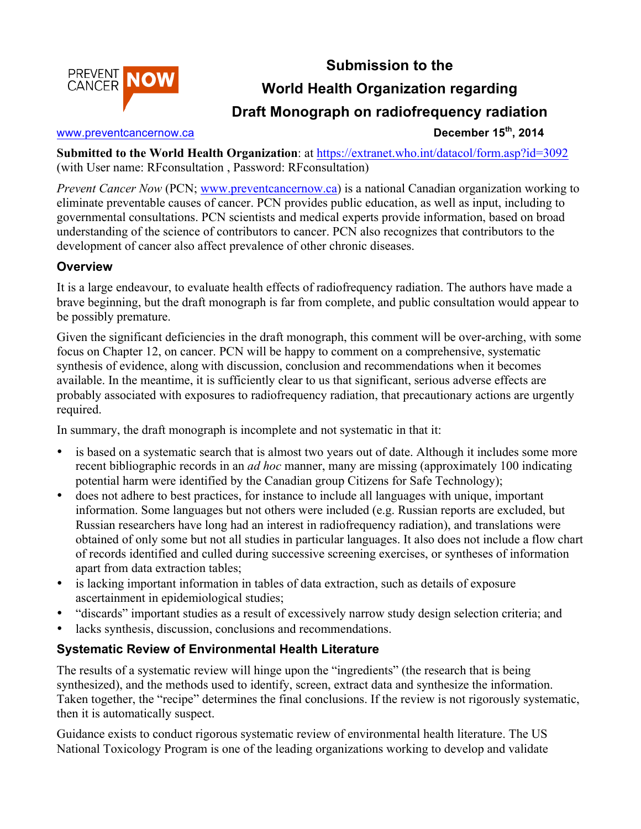



# **World Health Organization regarding**

## **Draft Monograph on radiofrequency radiation**

#### www.preventcancernow.ca **December 15<sup>th</sup>**, 2014

**Submitted to the World Health Organization**: at https://extranet.who.int/datacol/form.asp?id=3092 (with User name: RFconsultation , Password: RFconsultation)

*Prevent Cancer Now* (PCN; www.preventcancernow.ca) is a national Canadian organization working to eliminate preventable causes of cancer. PCN provides public education, as well as input, including to governmental consultations. PCN scientists and medical experts provide information, based on broad understanding of the science of contributors to cancer. PCN also recognizes that contributors to the development of cancer also affect prevalence of other chronic diseases.

#### **Overview**

It is a large endeavour, to evaluate health effects of radiofrequency radiation. The authors have made a brave beginning, but the draft monograph is far from complete, and public consultation would appear to be possibly premature.

Given the significant deficiencies in the draft monograph, this comment will be over-arching, with some focus on Chapter 12, on cancer. PCN will be happy to comment on a comprehensive, systematic synthesis of evidence, along with discussion, conclusion and recommendations when it becomes available. In the meantime, it is sufficiently clear to us that significant, serious adverse effects are probably associated with exposures to radiofrequency radiation, that precautionary actions are urgently required.

In summary, the draft monograph is incomplete and not systematic in that it:

- is based on a systematic search that is almost two years out of date. Although it includes some more recent bibliographic records in an *ad hoc* manner, many are missing (approximately 100 indicating potential harm were identified by the Canadian group Citizens for Safe Technology);
- does not adhere to best practices, for instance to include all languages with unique, important information. Some languages but not others were included (e.g. Russian reports are excluded, but Russian researchers have long had an interest in radiofrequency radiation), and translations were obtained of only some but not all studies in particular languages. It also does not include a flow chart of records identified and culled during successive screening exercises, or syntheses of information apart from data extraction tables;
- is lacking important information in tables of data extraction, such as details of exposure ascertainment in epidemiological studies;
- "discards" important studies as a result of excessively narrow study design selection criteria; and
- lacks synthesis, discussion, conclusions and recommendations.

### **Systematic Review of Environmental Health Literature**

The results of a systematic review will hinge upon the "ingredients" (the research that is being synthesized), and the methods used to identify, screen, extract data and synthesize the information. Taken together, the "recipe" determines the final conclusions. If the review is not rigorously systematic, then it is automatically suspect.

Guidance exists to conduct rigorous systematic review of environmental health literature. The US National Toxicology Program is one of the leading organizations working to develop and validate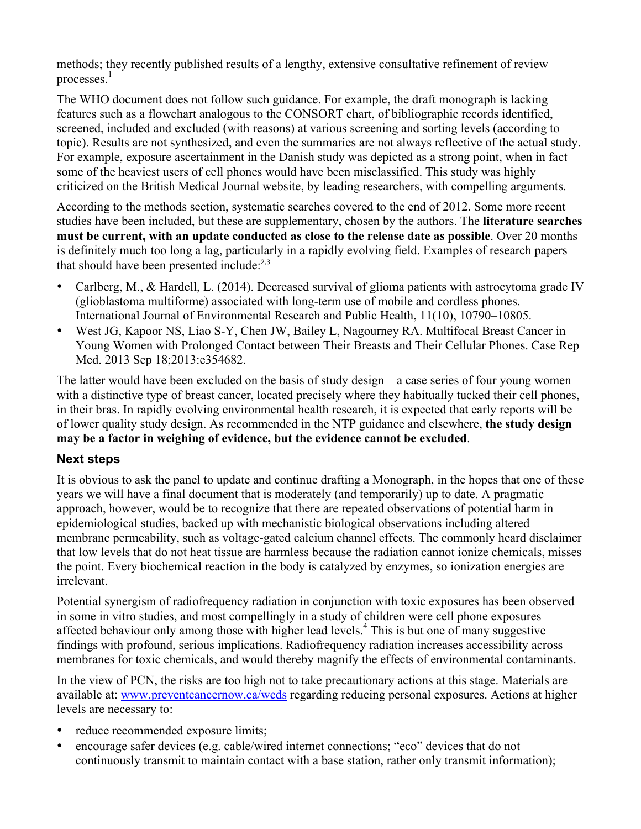methods; they recently published results of a lengthy, extensive consultative refinement of review processes.<sup>1</sup>

The WHO document does not follow such guidance. For example, the draft monograph is lacking features such as a flowchart analogous to the CONSORT chart, of bibliographic records identified, screened, included and excluded (with reasons) at various screening and sorting levels (according to topic). Results are not synthesized, and even the summaries are not always reflective of the actual study. For example, exposure ascertainment in the Danish study was depicted as a strong point, when in fact some of the heaviest users of cell phones would have been misclassified. This study was highly criticized on the British Medical Journal website, by leading researchers, with compelling arguments.

According to the methods section, systematic searches covered to the end of 2012. Some more recent studies have been included, but these are supplementary, chosen by the authors. The **literature searches must be current, with an update conducted as close to the release date as possible**. Over 20 months is definitely much too long a lag, particularly in a rapidly evolving field. Examples of research papers that should have been presented include: $2,3$ 

- Carlberg, M., & Hardell, L. (2014). Decreased survival of glioma patients with astrocytoma grade IV (glioblastoma multiforme) associated with long-term use of mobile and cordless phones. International Journal of Environmental Research and Public Health, 11(10), 10790–10805.
- West JG, Kapoor NS, Liao S-Y, Chen JW, Bailey L, Nagourney RA. Multifocal Breast Cancer in Young Women with Prolonged Contact between Their Breasts and Their Cellular Phones. Case Rep Med. 2013 Sep 18;2013:e354682.

The latter would have been excluded on the basis of study design – a case series of four young women with a distinctive type of breast cancer, located precisely where they habitually tucked their cell phones, in their bras. In rapidly evolving environmental health research, it is expected that early reports will be of lower quality study design. As recommended in the NTP guidance and elsewhere, **the study design may be a factor in weighing of evidence, but the evidence cannot be excluded**.

#### **Next steps**

It is obvious to ask the panel to update and continue drafting a Monograph, in the hopes that one of these years we will have a final document that is moderately (and temporarily) up to date. A pragmatic approach, however, would be to recognize that there are repeated observations of potential harm in epidemiological studies, backed up with mechanistic biological observations including altered membrane permeability, such as voltage-gated calcium channel effects. The commonly heard disclaimer that low levels that do not heat tissue are harmless because the radiation cannot ionize chemicals, misses the point. Every biochemical reaction in the body is catalyzed by enzymes, so ionization energies are irrelevant.

Potential synergism of radiofrequency radiation in conjunction with toxic exposures has been observed in some in vitro studies, and most compellingly in a study of children were cell phone exposures affected behaviour only among those with higher lead levels.<sup>4</sup> This is but one of many suggestive findings with profound, serious implications. Radiofrequency radiation increases accessibility across membranes for toxic chemicals, and would thereby magnify the effects of environmental contaminants.

In the view of PCN, the risks are too high not to take precautionary actions at this stage. Materials are available at: www.preventcancernow.ca/wcds regarding reducing personal exposures. Actions at higher levels are necessary to:

- reduce recommended exposure limits;
- encourage safer devices (e.g. cable/wired internet connections; "eco" devices that do not continuously transmit to maintain contact with a base station, rather only transmit information);